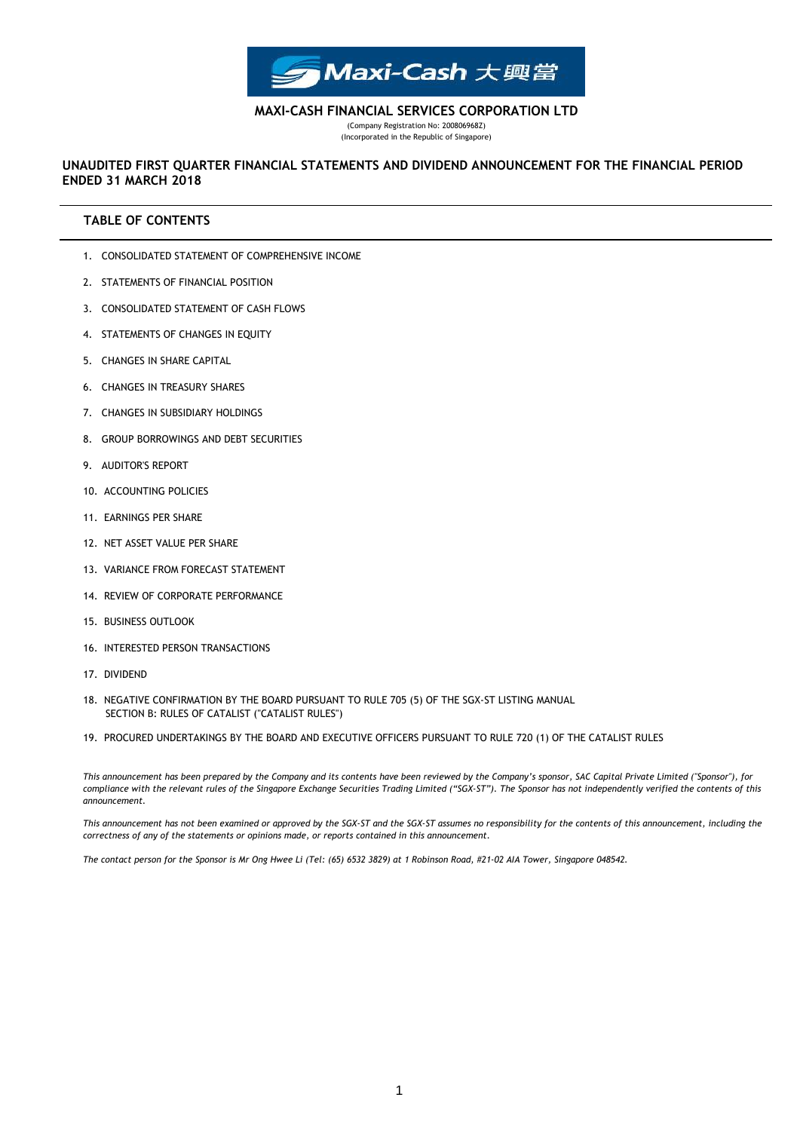

**MAXI-CASH FINANCIAL SERVICES CORPORATION LTD**

(Company Registration No: 200806968Z) (Incorporated in the Republic of Singapore)

# **ENDED 31 MARCH 2018 UNAUDITED FIRST QUARTER FINANCIAL STATEMENTS AND DIVIDEND ANNOUNCEMENT FOR THE FINANCIAL PERIOD**

# **TABLE OF CONTENTS**

- 1. CONSOLIDATED STATEMENT OF COMPREHENSIVE INCOME
- 2. STATEMENTS OF FINANCIAL POSITION
- 3. CONSOLIDATED STATEMENT OF CASH FLOWS
- 4. STATEMENTS OF CHANGES IN EQUITY
- 5. CHANGES IN SHARE CAPITAL
- 6. CHANGES IN TREASURY SHARES
- 7. CHANGES IN SUBSIDIARY HOLDINGS
- 8. GROUP BORROWINGS AND DEBT SECURITIES
- 9. AUDITOR'S REPORT
- 10. ACCOUNTING POLICIES
- 11. EARNINGS PER SHARE
- 12. NET ASSET VALUE PER SHARE
- 13. VARIANCE FROM FORECAST STATEMENT
- 14. REVIEW OF CORPORATE PERFORMANCE
- 15. BUSINESS OUTLOOK
- 16. INTERESTED PERSON TRANSACTIONS
- 17. DIVIDEND
- 18. NEGATIVE CONFIRMATION BY THE BOARD PURSUANT TO RULE 705 (5) OF THE SGX-ST LISTING MANUAL SECTION B: RULES OF CATALIST ("CATALIST RULES")
- 19. PROCURED UNDERTAKINGS BY THE BOARD AND EXECUTIVE OFFICERS PURSUANT TO RULE 720 (1) OF THE CATALIST RULES

*This announcement has been prepared by the Company and its contents have been reviewed by the Company's sponsor, SAC Capital Private Limited ("Sponsor"), for compliance with the relevant rules of the Singapore Exchange Securities Trading Limited ("SGX-ST"). The Sponsor has not independently verified the contents of this announcement.*

*This announcement has not been examined or approved by the SGX-ST and the SGX-ST assumes no responsibility for the contents of this announcement, including the correctness of any of the statements or opinions made, or reports contained in this announcement.*

*The contact person for the Sponsor is Mr Ong Hwee Li (Tel: (65) 6532 3829) at 1 Robinson Road, #21-02 AIA Tower, Singapore 048542.*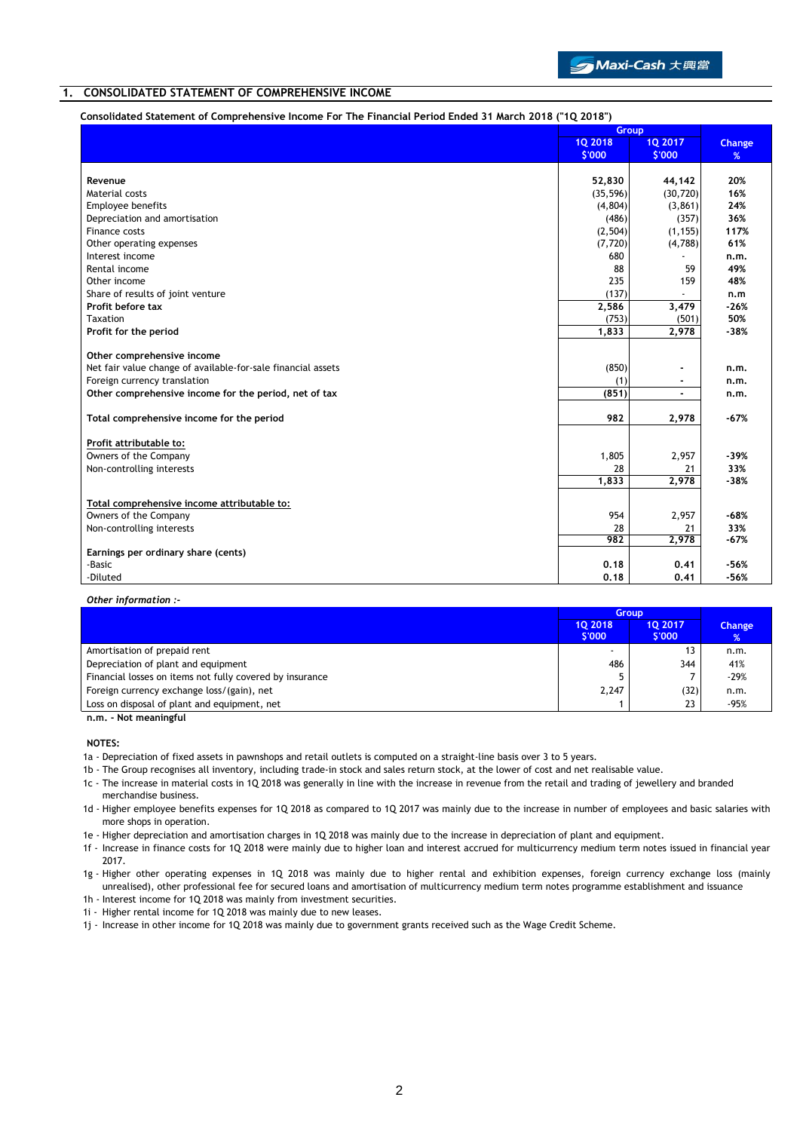

### **1. CONSOLIDATED STATEMENT OF COMPREHENSIVE INCOME**

#### **Consolidated Statement of Comprehensive Income For The Financial Period Ended 31 March 2018 ("1Q 2018")**

|                                                                                              | Group        |                |               |
|----------------------------------------------------------------------------------------------|--------------|----------------|---------------|
|                                                                                              | 10 2018      | <b>1Q 2017</b> | <b>Change</b> |
|                                                                                              | \$'000       | \$'000         | %             |
|                                                                                              |              |                |               |
| Revenue                                                                                      | 52,830       | 44,142         | 20%           |
| Material costs                                                                               | (35, 596)    | (30, 720)      | 16%           |
| Employee benefits                                                                            | (4,804)      | (3,861)        | 24%           |
| Depreciation and amortisation                                                                | (486)        | (357)          | 36%           |
| Finance costs                                                                                | (2, 504)     | (1, 155)       | 117%          |
| Other operating expenses                                                                     | (7, 720)     | (4,788)        | 61%           |
| Interest income                                                                              | 680          |                | n.m.          |
| Rental income                                                                                | 88           | 59             | 49%           |
| Other income                                                                                 | 235          | 159            | 48%           |
| Share of results of joint venture                                                            | (137)        |                | n.m           |
| Profit before tax                                                                            | 2,586        | 3,479          | $-26%$        |
| Taxation                                                                                     | (753)        | (501)          | 50%           |
| Profit for the period                                                                        | 1,833        | 2,978          | $-38%$        |
|                                                                                              |              |                |               |
| Other comprehensive income                                                                   |              |                |               |
| Net fair value change of available-for-sale financial assets<br>Foreign currency translation | (850)        | ۰              | n.m.          |
| Other comprehensive income for the period, net of tax                                        | (1)<br>(851) | ٠<br>÷         | n.m.          |
|                                                                                              |              |                | n.m.          |
| Total comprehensive income for the period                                                    | 982          | 2,978          | $-67%$        |
| Profit attributable to:                                                                      |              |                |               |
| Owners of the Company                                                                        | 1,805        | 2,957          | $-39%$        |
| Non-controlling interests                                                                    | 28           | 21             | 33%           |
|                                                                                              | 1,833        | 2,978          | $-38%$        |
| Total comprehensive income attributable to:                                                  |              |                |               |
| Owners of the Company                                                                        | 954          | 2,957          | $-68%$        |
| Non-controlling interests                                                                    | 28           | 21             | 33%           |
|                                                                                              | 982          | 2,978          | $-67%$        |
| Earnings per ordinary share (cents)                                                          |              |                |               |
| -Basic                                                                                       | 0.18         | 0.41           | $-56%$        |
| -Diluted                                                                                     | 0.18         | 0.41           | $-56%$        |
|                                                                                              |              |                |               |

#### *Other information :-*

|                                                                                                                 | <b>Group</b>     |                  |                                |  |
|-----------------------------------------------------------------------------------------------------------------|------------------|------------------|--------------------------------|--|
|                                                                                                                 | 10 2018<br>S'000 | 10 2017<br>S'000 | <b>Change</b><br>$\frac{9}{6}$ |  |
| Amortisation of prepaid rent                                                                                    |                  | 13               | n.m.                           |  |
| Depreciation of plant and equipment                                                                             | 486              | 344              | 41%                            |  |
| Financial losses on items not fully covered by insurance                                                        | 5                |                  | $-29%$                         |  |
| Foreign currency exchange loss/(gain), net                                                                      | 2,247            | (32)             | n.m.                           |  |
| Loss on disposal of plant and equipment, net                                                                    |                  | 23               | -95%                           |  |
| the contract of the second contract of the second second and the second second and the second second second and |                  |                  |                                |  |

**n.m. - Not meaningful**

**NOTES:**

1a - Depreciation of fixed assets in pawnshops and retail outlets is computed on a straight-line basis over 3 to 5 years.

1b - The Group recognises all inventory, including trade-in stock and sales return stock, at the lower of cost and net realisable value.

1c - The increase in material costs in 1Q 2018 was generally in line with the increase in revenue from the retail and trading of jewellery and branded merchandise business.

1d - Higher employee benefits expenses for 1Q 2018 as compared to 1Q 2017 was mainly due to the increase in number of employees and basic salaries with more shops in operation.

1e - Higher depreciation and amortisation charges in 1Q 2018 was mainly due to the increase in depreciation of plant and equipment.

1f - Increase in finance costs for 1Q 2018 were mainly due to higher loan and interest accrued for multicurrency medium term notes issued in financial year 2017.

1g - Higher other operating expenses in 1Q 2018 was mainly due to higher rental and exhibition expenses, foreign currency exchange loss (mainly unrealised), other professional fee for secured loans and amortisation of multicurrency medium term notes programme establishment and issuance

1h - Interest income for 1Q 2018 was mainly from investment securities.

1i - Higher rental income for 1Q 2018 was mainly due to new leases.

1j - Increase in other income for 1Q 2018 was mainly due to government grants received such as the Wage Credit Scheme.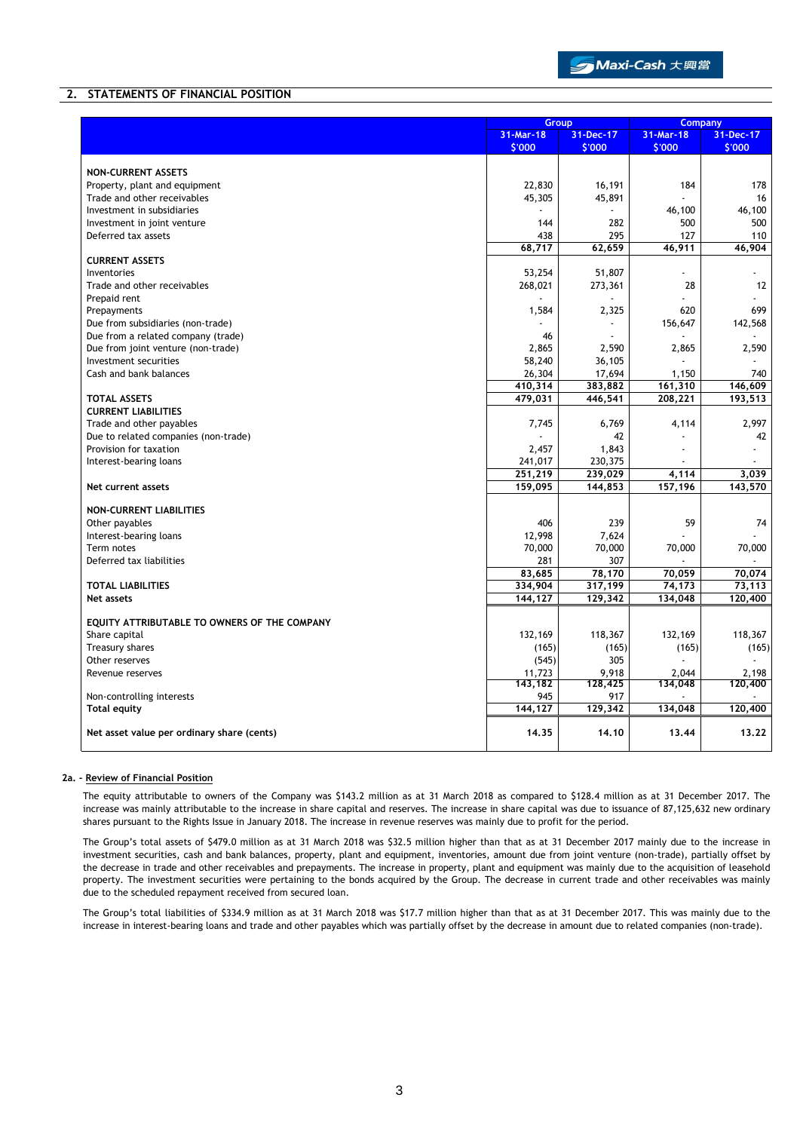## **2. STATEMENTS OF FINANCIAL POSITION**

|                                              |           | Group     |                | <b>Company</b> |
|----------------------------------------------|-----------|-----------|----------------|----------------|
|                                              | 31-Mar-18 | 31-Dec-17 | 31-Mar-18      | 31-Dec-17      |
|                                              | \$'000    | \$'000    | \$'000         | \$'000         |
|                                              |           |           |                |                |
| <b>NON-CURRENT ASSETS</b>                    |           |           |                |                |
| Property, plant and equipment                | 22,830    | 16,191    | 184            | 178            |
| Trade and other receivables                  | 45,305    | 45,891    |                | 16             |
| Investment in subsidiaries                   |           |           | 46,100         | 46,100         |
| Investment in joint venture                  | 144       | 282       | 500            | 500            |
| Deferred tax assets                          | 438       | 295       | 127            | 110            |
|                                              | 68,717    | 62,659    | 46,911         | 46,904         |
| <b>CURRENT ASSETS</b>                        |           |           |                |                |
| Inventories                                  | 53,254    | 51,807    | $\overline{a}$ |                |
| Trade and other receivables                  | 268,021   | 273,361   | 28             | 12             |
| Prepaid rent                                 |           |           |                |                |
| Prepayments                                  | 1,584     | 2,325     | 620            | 699            |
| Due from subsidiaries (non-trade)            |           |           | 156,647        | 142,568        |
| Due from a related company (trade)           | 46        |           |                |                |
| Due from joint venture (non-trade)           | 2,865     | 2,590     | 2,865          | 2,590          |
| Investment securities                        | 58,240    | 36,105    |                |                |
| Cash and bank balances                       | 26,304    | 17,694    | 1,150          | 740            |
|                                              | 410,314   | 383,882   | 161,310        | 146,609        |
| <b>TOTAL ASSETS</b>                          | 479,031   | 446,541   | 208,221        | 193,513        |
| <b>CURRENT LIABILITIES</b>                   |           |           |                |                |
| Trade and other payables                     | 7,745     | 6,769     | 4,114          | 2,997          |
| Due to related companies (non-trade)         |           | 42        |                | 42             |
| Provision for taxation                       | 2,457     | 1,843     |                |                |
| Interest-bearing loans                       | 241,017   | 230,375   |                |                |
|                                              | 251,219   | 239,029   | 4,114          | 3.039          |
| Net current assets                           | 159,095   | 144,853   | 157,196        | 143,570        |
|                                              |           |           |                |                |
| <b>NON-CURRENT LIABILITIES</b>               |           |           |                |                |
| Other payables                               | 406       | 239       | 59             | 74             |
| Interest-bearing loans                       | 12,998    | 7,624     |                |                |
| Term notes                                   | 70,000    | 70,000    | 70,000         | 70,000         |
| Deferred tax liabilities                     | 281       | 307       |                |                |
|                                              | 83,685    | 78,170    | 70,059         | 70,074         |
| <b>TOTAL LIABILITIES</b>                     | 334,904   | 317,199   | 74,173         | 73,113         |
| <b>Net assets</b>                            | 144,127   | 129,342   | 134,048        | 120,400        |
|                                              |           |           |                |                |
| EQUITY ATTRIBUTABLE TO OWNERS OF THE COMPANY |           |           |                |                |
| Share capital                                | 132,169   | 118,367   | 132,169        | 118,367        |
| Treasury shares                              | (165)     | (165)     | (165)          | (165)          |
| Other reserves                               | (545)     | 305       | ÷              |                |
| Revenue reserves                             | 11,723    | 9,918     | 2,044          | 2,198          |
|                                              | 143,182   | 128,425   | 134,048        | 120,400        |
| Non-controlling interests                    | 945       | 917       |                |                |
| <b>Total equity</b>                          | 144,127   | 129,342   | 134,048        | 120,400        |
|                                              |           |           |                |                |
| Net asset value per ordinary share (cents)   | 14.35     | 14.10     | 13.44          | 13.22          |
|                                              |           |           |                |                |

#### **2a. - Review of Financial Position**

The equity attributable to owners of the Company was \$143.2 million as at 31 March 2018 as compared to \$128.4 million as at 31 December 2017. The increase was mainly attributable to the increase in share capital and reserves. The increase in share capital was due to issuance of 87,125,632 new ordinary shares pursuant to the Rights Issue in January 2018. The increase in revenue reserves was mainly due to profit for the period.

The Group's total assets of \$479.0 million as at 31 March 2018 was \$32.5 million higher than that as at 31 December 2017 mainly due to the increase in investment securities, cash and bank balances, property, plant and equipment, inventories, amount due from joint venture (non-trade), partially offset by the decrease in trade and other receivables and prepayments. The increase in property, plant and equipment was mainly due to the acquisition of leasehold property. The investment securities were pertaining to the bonds acquired by the Group. The decrease in current trade and other receivables was mainly due to the scheduled repayment received from secured loan.

The Group's total liabilities of \$334.9 million as at 31 March 2018 was \$17.7 million higher than that as at 31 December 2017. This was mainly due to the increase in interest-bearing loans and trade and other payables which was partially offset by the decrease in amount due to related companies (non-trade).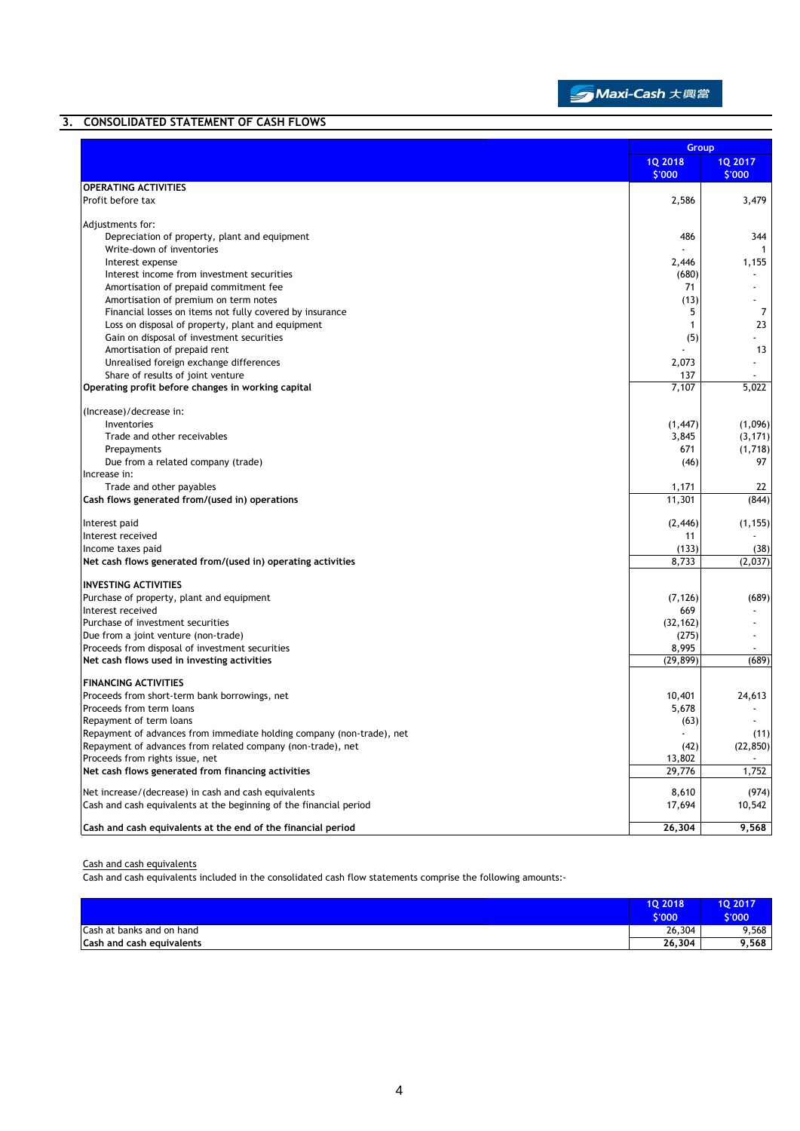

# **3. CONSOLIDATED STATEMENT OF CASH FLOWS**

|                                                                                                               | Group                    |                          |
|---------------------------------------------------------------------------------------------------------------|--------------------------|--------------------------|
|                                                                                                               | <b>1Q 2018</b><br>\$'000 | <b>1Q 2017</b><br>\$'000 |
| <b>OPERATING ACTIVITIES</b>                                                                                   |                          |                          |
| Profit before tax                                                                                             | 2,586                    | 3,479                    |
| Adjustments for:                                                                                              |                          |                          |
| Depreciation of property, plant and equipment                                                                 | 486                      | 344                      |
| Write-down of inventories                                                                                     |                          | 1                        |
| Interest expense                                                                                              | 2,446                    | 1,155                    |
| Interest income from investment securities                                                                    | (680)                    |                          |
| Amortisation of prepaid commitment fee                                                                        | 71<br>(13)               |                          |
| Amortisation of premium on term notes                                                                         | 5                        | $\overline{7}$           |
| Financial losses on items not fully covered by insurance<br>Loss on disposal of property, plant and equipment | $\mathbf{1}$             | 23                       |
| Gain on disposal of investment securities                                                                     | (5)                      |                          |
| Amortisation of prepaid rent                                                                                  |                          | 13                       |
| Unrealised foreign exchange differences                                                                       | 2,073                    |                          |
| Share of results of joint venture                                                                             | 137                      |                          |
| Operating profit before changes in working capital                                                            | 7,107                    | 5,022                    |
| (Increase)/decrease in:                                                                                       |                          |                          |
| Inventories                                                                                                   | (1, 447)                 | (1,096)                  |
| Trade and other receivables                                                                                   | 3,845                    | (3, 171)                 |
| Prepayments                                                                                                   | 671                      | (1,718)                  |
| Due from a related company (trade)                                                                            | (46)                     | 97                       |
| Increase in:                                                                                                  |                          |                          |
| Trade and other payables                                                                                      | 1,171                    | 22                       |
| Cash flows generated from/(used in) operations                                                                | 11,301                   | (844)                    |
| Interest paid                                                                                                 | (2, 446)                 | (1, 155)                 |
| Interest received                                                                                             | 11                       |                          |
| Income taxes paid                                                                                             | (133)                    | (38)                     |
| Net cash flows generated from/(used in) operating activities                                                  | 8,733                    | (2,037)                  |
| <b>INVESTING ACTIVITIES</b>                                                                                   |                          |                          |
| Purchase of property, plant and equipment                                                                     | (7, 126)                 | (689)                    |
| Interest received                                                                                             | 669                      |                          |
| Purchase of investment securities                                                                             | (32, 162)                |                          |
| Due from a joint venture (non-trade)                                                                          | (275)                    |                          |
| Proceeds from disposal of investment securities                                                               | 8,995                    |                          |
| Net cash flows used in investing activities                                                                   | (29, 899)                | (689)                    |
| <b>FINANCING ACTIVITIES</b>                                                                                   |                          |                          |
| Proceeds from short-term bank borrowings, net                                                                 | 10,401                   | 24,613                   |
| Proceeds from term loans                                                                                      | 5,678                    |                          |
| Repayment of term loans                                                                                       | (63)                     |                          |
| Repayment of advances from immediate holding company (non-trade), net                                         |                          | (11)                     |
| Repayment of advances from related company (non-trade), net                                                   | (42)                     | (22, 850)                |
| Proceeds from rights issue, net                                                                               | 13,802                   |                          |
| Net cash flows generated from financing activities                                                            | 29,776                   | 1,752                    |
| Net increase/(decrease) in cash and cash equivalents                                                          | 8,610                    | (974)                    |
| Cash and cash equivalents at the beginning of the financial period                                            | 17,694                   | 10,542                   |
| Cash and cash equivalents at the end of the financial period                                                  | 26,304                   | 9,568                    |

#### Cash and cash equivalents

Cash and cash equivalents included in the consolidated cash flow statements comprise the following amounts:-

|                           | 10 2018<br>S'000 | <b>1Q 2017</b><br>\$'000 |
|---------------------------|------------------|--------------------------|
| Cash at banks and on hand | 26,304           | 9.568                    |
| Cash and cash equivalents | 26,304           | 9,568                    |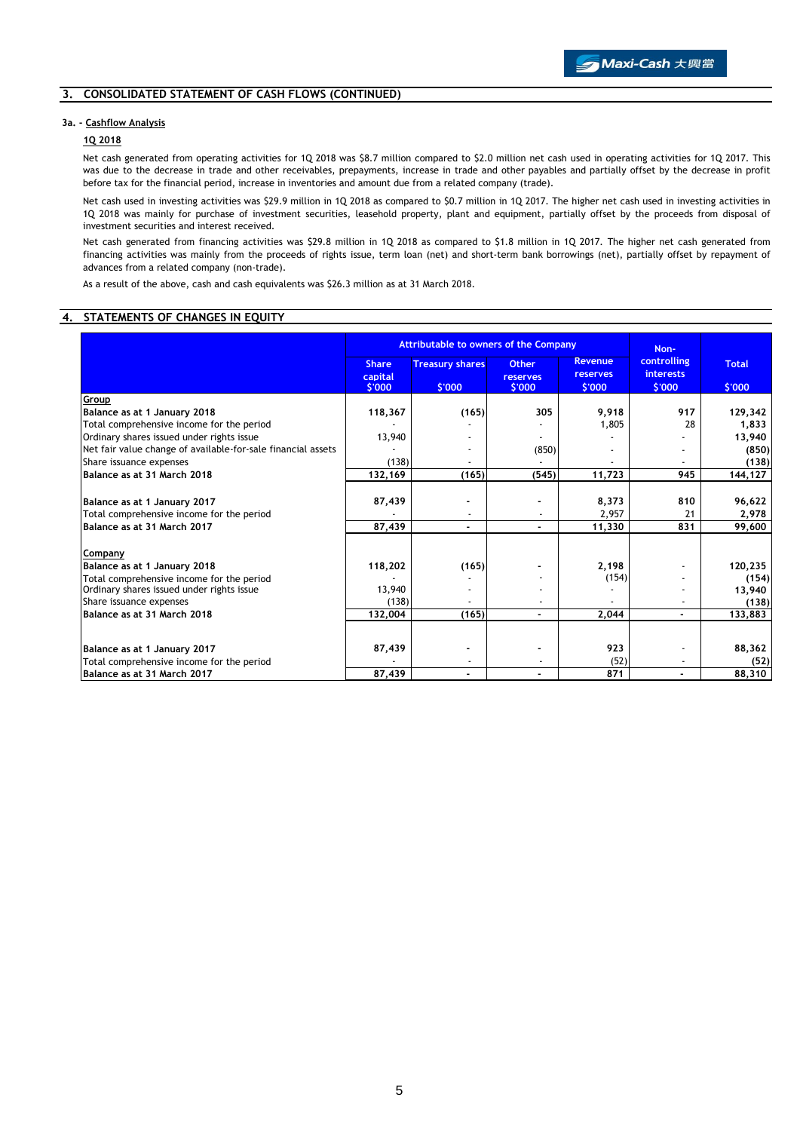### **3. CONSOLIDATED STATEMENT OF CASH FLOWS (CONTINUED)**

#### **3a. - Cashflow Analysis**

## **1Q 2018**

Net cash generated from operating activities for 1Q 2018 was \$8.7 million compared to \$2.0 million net cash used in operating activities for 1Q 2017. This was due to the decrease in trade and other receivables, prepayments, increase in trade and other payables and partially offset by the decrease in profit before tax for the financial period, increase in inventories and amount due from a related company (trade).

Net cash used in investing activities was \$29.9 million in 1Q 2018 as compared to \$0.7 million in 1Q 2017. The higher net cash used in investing activities in 1Q 2018 was mainly for purchase of investment securities, leasehold property, plant and equipment, partially offset by the proceeds from disposal of investment securities and interest received.

Net cash generated from financing activities was \$29.8 million in 1Q 2018 as compared to \$1.8 million in 1Q 2017. The higher net cash generated from financing activities was mainly from the proceeds of rights issue, term loan (net) and short-term bank borrowings (net), partially offset by repayment of advances from a related company (non-trade).

As a result of the above, cash and cash equivalents was \$26.3 million as at 31 March 2018.

#### **4. STATEMENTS OF CHANGES IN EQUITY**

|                                                                          | <b>Attributable to owners of the Company</b> |                                  |                                    | Non-                                        |                                           |                        |
|--------------------------------------------------------------------------|----------------------------------------------|----------------------------------|------------------------------------|---------------------------------------------|-------------------------------------------|------------------------|
|                                                                          | <b>Share</b><br>capital<br>\$'000            | <b>Treasury shares</b><br>\$'000 | <b>Other</b><br>reserves<br>\$'000 | <b>Revenue</b><br><b>reserves</b><br>\$'000 | controlling<br><b>interests</b><br>\$'000 | <b>Total</b><br>\$'000 |
| Group                                                                    |                                              |                                  |                                    |                                             |                                           |                        |
| Balance as at 1 January 2018                                             | 118,367                                      | (165)                            | 305                                | 9,918                                       | 917                                       | 129,342                |
| Total comprehensive income for the period                                |                                              |                                  |                                    | 1,805                                       | 28                                        | 1,833                  |
| Ordinary shares issued under rights issue                                | 13,940                                       |                                  |                                    |                                             |                                           | 13,940                 |
| Net fair value change of available-for-sale financial assets             |                                              |                                  | (850)                              |                                             |                                           | (850)                  |
| Share issuance expenses                                                  | (138)                                        |                                  |                                    |                                             |                                           | (138)                  |
| Balance as at 31 March 2018                                              | 132,169                                      | (165)                            | (545)                              | 11,723                                      | 945                                       | 144,127                |
| Balance as at 1 January 2017                                             | 87,439                                       |                                  |                                    | 8,373                                       | 810                                       | 96,622                 |
| Total comprehensive income for the period                                |                                              |                                  |                                    | 2,957                                       | 21                                        | 2,978                  |
| Balance as at 31 March 2017                                              | 87,439                                       | $\blacksquare$                   | $\blacksquare$                     | 11,330                                      | 831                                       | 99,600                 |
| Company                                                                  |                                              |                                  |                                    |                                             |                                           |                        |
| Balance as at 1 January 2018                                             | 118,202                                      | (165)                            |                                    | 2,198                                       |                                           | 120,235                |
| Total comprehensive income for the period                                |                                              |                                  |                                    | (154)                                       |                                           | (154)                  |
| Ordinary shares issued under rights issue                                | 13,940                                       |                                  |                                    |                                             |                                           | 13,940                 |
| Share issuance expenses                                                  | (138)                                        |                                  |                                    |                                             |                                           | (138)                  |
| Balance as at 31 March 2018                                              | 132,004                                      | (165)                            | ٠                                  | 2,044                                       | ٠                                         | 133,883                |
|                                                                          |                                              |                                  |                                    |                                             |                                           |                        |
| Balance as at 1 January 2017                                             | 87,439                                       |                                  |                                    | 923                                         |                                           | 88,362                 |
| Total comprehensive income for the period<br>Balance as at 31 March 2017 | 87,439                                       | $\blacksquare$                   | ۰                                  | (52)<br>871                                 |                                           | (52)<br>88,310         |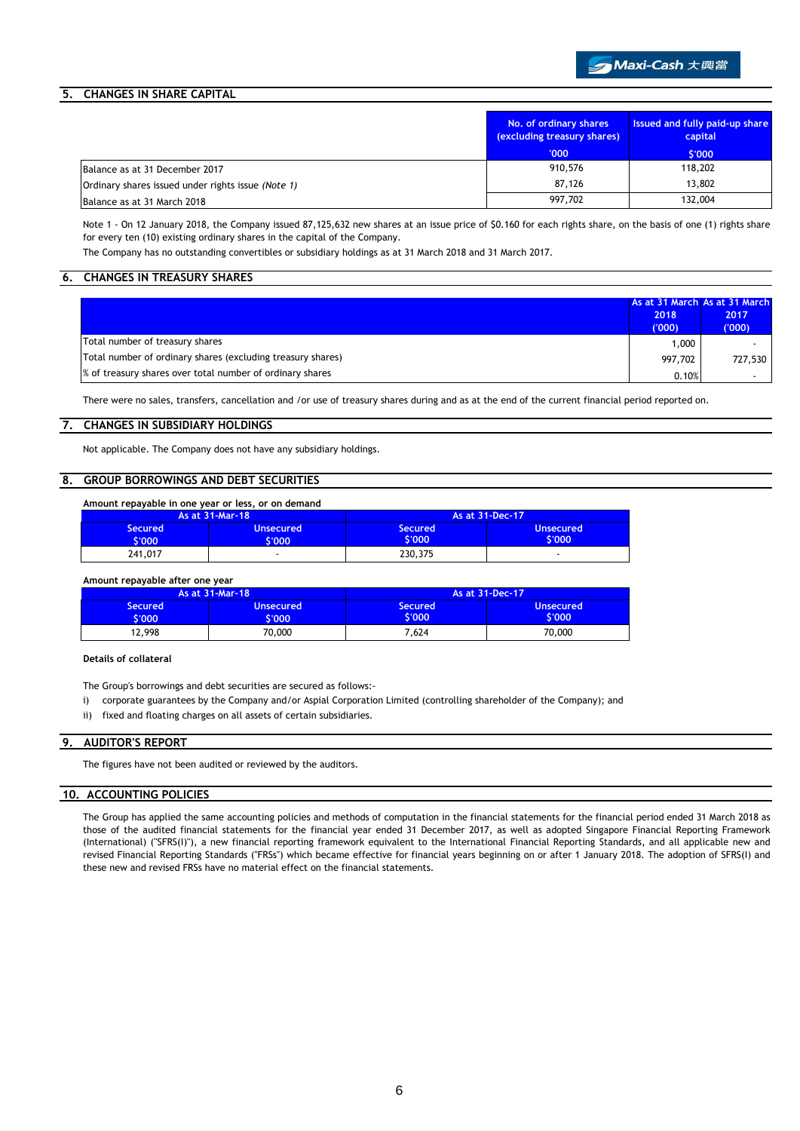# ● Maxi-Cash 大興當

### **5. CHANGES IN SHARE CAPITAL**

|                                                    | No. of ordinary shares<br>(excluding treasury shares) | <b>Issued and fully paid-up share</b><br>capital |
|----------------------------------------------------|-------------------------------------------------------|--------------------------------------------------|
|                                                    | '000'                                                 | \$'000                                           |
| Balance as at 31 December 2017                     | 910,576                                               | 118,202                                          |
| Ordinary shares issued under rights issue (Note 1) | 87.126                                                | 13,802                                           |
| Balance as at 31 March 2018                        | 997,702                                               | 132,004                                          |

Note 1 - On 12 January 2018, the Company issued 87,125,632 new shares at an issue price of \$0.160 for each rights share, on the basis of one (1) rights share for every ten (10) existing ordinary shares in the capital of the Company.

The Company has no outstanding convertibles or subsidiary holdings as at 31 March 2018 and 31 March 2017.

### **6. CHANGES IN TREASURY SHARES**

|                                                             | 2018<br>(000) | As at 31 March As at 31 March<br>2017<br>(000) |
|-------------------------------------------------------------|---------------|------------------------------------------------|
| Total number of treasury shares                             | 1,000         |                                                |
| Total number of ordinary shares (excluding treasury shares) | 997.702       | 727,530                                        |
| % of treasury shares over total number of ordinary shares   | 0.10%         |                                                |

There were no sales, transfers, cancellation and /or use of treasury shares during and as at the end of the current financial period reported on.

#### **7. CHANGES IN SUBSIDIARY HOLDINGS**

Not applicable. The Company does not have any subsidiary holdings.

### **8. GROUP BORROWINGS AND DEBT SECURITIES**

| Amount repayable in one year or less, or on demand |                            |                   |                            |  |
|----------------------------------------------------|----------------------------|-------------------|----------------------------|--|
|                                                    | As at 31-Mar-18            |                   | As at 31-Dec-17            |  |
| <b>Secured</b><br>5'000                            | <b>Unsecured</b><br>\$'000 | Secured<br>\$'000 | <b>Unsecured</b><br>\$'000 |  |
| 241,017                                            | -                          | 230,375           |                            |  |

**Amount repayable after one year**

| As at 31-Mar-18 |                  | As at 31-Dec-17 |                  |
|-----------------|------------------|-----------------|------------------|
| Secured         | <b>Unsecured</b> | <b>Secured</b>  | <b>Unsecured</b> |
| 1000            | '000             | 6'000           | \$'000           |
| 12.998          | 70,000           | 7.624           | 70.000           |

**Details of collateral**

The Group's borrowings and debt securities are secured as follows:-

- i) corporate guarantees by the Company and/or Aspial Corporation Limited (controlling shareholder of the Company); and
- ii) fixed and floating charges on all assets of certain subsidiaries.

### **9. AUDITOR'S REPORT**

The figures have not been audited or reviewed by the auditors.

#### **10. ACCOUNTING POLICIES**

The Group has applied the same accounting policies and methods of computation in the financial statements for the financial period ended 31 March 2018 as those of the audited financial statements for the financial year ended 31 December 2017, as well as adopted Singapore Financial Reporting Framework (International) (''SFRS(I)''), a new financial reporting framework equivalent to the International Financial Reporting Standards, and all applicable new and revised Financial Reporting Standards ("FRSs") which became effective for financial years beginning on or after 1 January 2018. The adoption of SFRS(I) and these new and revised FRSs have no material effect on the financial statements.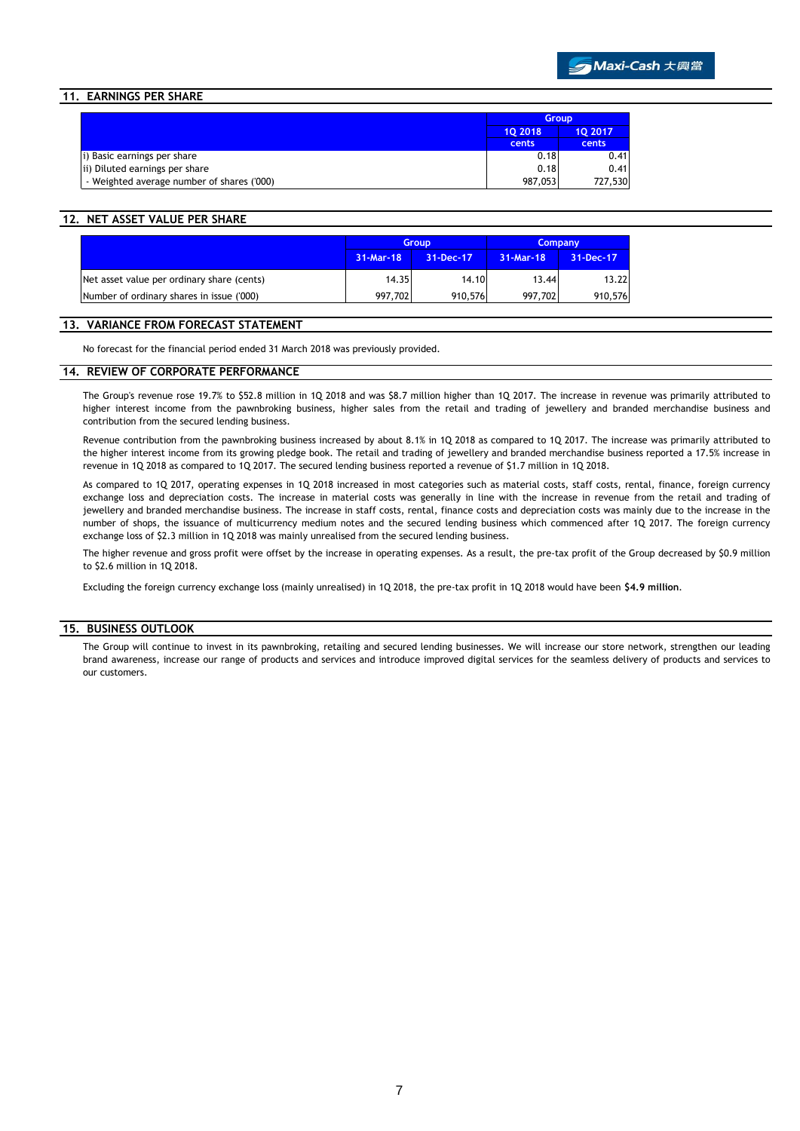### **11. EARNINGS PER SHARE**

|                                            | <b>Group</b> |         |  |
|--------------------------------------------|--------------|---------|--|
|                                            | 10 2018      | 10 2017 |  |
|                                            | cents        | cents   |  |
| i) Basic earnings per share                | 0.18         | 0.41    |  |
| ii) Diluted earnings per share             | 0.18         | 0.41    |  |
| - Weighted average number of shares ('000) | 987.053      | 727,530 |  |

#### **12. NET ASSET VALUE PER SHARE**

|                                            | <b>Group</b> |           | <b>Company</b> |           |
|--------------------------------------------|--------------|-----------|----------------|-----------|
|                                            | 31-Mar-18    | 31-Dec-17 | 31-Mar-18      | 31-Dec-17 |
| Net asset value per ordinary share (cents) | 14.35        | 14.10     | 13.44          | 13.22     |
| Number of ordinary shares in issue ('000)  | 997,702      | 910,576   | 997.702        | 910,576   |

#### **13. VARIANCE FROM FORECAST STATEMENT**

No forecast for the financial period ended 31 March 2018 was previously provided.

#### **14. REVIEW OF CORPORATE PERFORMANCE**

The Group's revenue rose 19.7% to \$52.8 million in 1Q 2018 and was \$8.7 million higher than 1Q 2017. The increase in revenue was primarily attributed to higher interest income from the pawnbroking business, higher sales from the retail and trading of jewellery and branded merchandise business and contribution from the secured lending business.

Revenue contribution from the pawnbroking business increased by about 8.1% in 1Q 2018 as compared to 1Q 2017. The increase was primarily attributed to the higher interest income from its growing pledge book. The retail and trading of jewellery and branded merchandise business reported a 17.5% increase in revenue in 1Q 2018 as compared to 1Q 2017. The secured lending business reported a revenue of \$1.7 million in 1Q 2018.

As compared to 1Q 2017, operating expenses in 1Q 2018 increased in most categories such as material costs, staff costs, rental, finance, foreign currency exchange loss and depreciation costs. The increase in material costs was generally in line with the increase in revenue from the retail and trading of jewellery and branded merchandise business. The increase in staff costs, rental, finance costs and depreciation costs was mainly due to the increase in the number of shops, the issuance of multicurrency medium notes and the secured lending business which commenced after 1Q 2017. The foreign currency exchange loss of \$2.3 million in 1Q 2018 was mainly unrealised from the secured lending business.

The higher revenue and gross profit were offset by the increase in operating expenses. As a result, the pre-tax profit of the Group decreased by \$0.9 million to \$2.6 million in 1Q 2018.

Excluding the foreign currency exchange loss (mainly unrealised) in 1Q 2018, the pre-tax profit in 1Q 2018 would have been **\$4.9 million**.

#### **15. BUSINESS OUTLOOK**

The Group will continue to invest in its pawnbroking, retailing and secured lending businesses. We will increase our store network, strengthen our leading brand awareness, increase our range of products and services and introduce improved digital services for the seamless delivery of products and services to our customers.